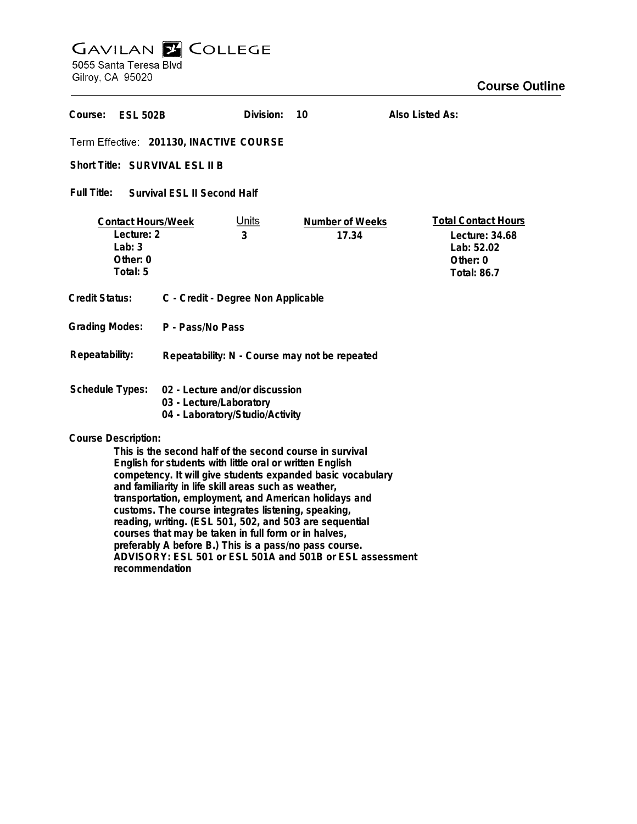## **GAVILAN E COLLEGE**<br>5055 Santa Teresa Blvd

Gilroy, CA 95020

| Course: ESL 502B                                                                                                                                                                                                                                                                                                                                                                                                                                                                                                                                                       |                                               | Division:         | 10                       | Also Listed As:                                                                              |
|------------------------------------------------------------------------------------------------------------------------------------------------------------------------------------------------------------------------------------------------------------------------------------------------------------------------------------------------------------------------------------------------------------------------------------------------------------------------------------------------------------------------------------------------------------------------|-----------------------------------------------|-------------------|--------------------------|----------------------------------------------------------------------------------------------|
| Term Effective: 201130, INACTIVE COURSE                                                                                                                                                                                                                                                                                                                                                                                                                                                                                                                                |                                               |                   |                          |                                                                                              |
| Short Title: SURVIVAL ESL II B                                                                                                                                                                                                                                                                                                                                                                                                                                                                                                                                         |                                               |                   |                          |                                                                                              |
| Full Title:<br>Survival ESL II Second Half                                                                                                                                                                                                                                                                                                                                                                                                                                                                                                                             |                                               |                   |                          |                                                                                              |
| <b>Contact Hours/Week</b><br>Lecture: 2<br>Lab: $3$<br>Other: 0<br>Total: 5                                                                                                                                                                                                                                                                                                                                                                                                                                                                                            |                                               | <u>Units</u><br>3 | Number of Weeks<br>17.34 | <b>Total Contact Hours</b><br>Lecture: 34.68<br>Lab: 52.02<br>Other: 0<br><b>Total: 86.7</b> |
| <b>Credit Status:</b><br>C - Credit - Degree Non Applicable                                                                                                                                                                                                                                                                                                                                                                                                                                                                                                            |                                               |                   |                          |                                                                                              |
| <b>Grading Modes:</b><br>P - Pass/No Pass                                                                                                                                                                                                                                                                                                                                                                                                                                                                                                                              |                                               |                   |                          |                                                                                              |
| Repeatability:                                                                                                                                                                                                                                                                                                                                                                                                                                                                                                                                                         | Repeatability: N - Course may not be repeated |                   |                          |                                                                                              |
| <b>Schedule Types:</b><br>02 - Lecture and/or discussion<br>03 - Lecture/Laboratory<br>04 - Laboratory/Studio/Activity                                                                                                                                                                                                                                                                                                                                                                                                                                                 |                                               |                   |                          |                                                                                              |
| <b>Course Description:</b><br>This is the second half of the second course in survival<br>English for students with little oral or written English<br>competency. It will give students expanded basic vocabulary<br>and familiarity in life skill areas such as weather,<br>transportation, employment, and American holidays and<br>customs. The course integrates listening, speaking,<br>reading, writing. (ESL 501, 502, and 503 are sequential<br>courses that may be taken in full form or in halves,<br>preferably A before B.) This is a pass/no pass course. |                                               |                   |                          |                                                                                              |

**ADVISORY: ESL 501 or ESL 501A and 501B or ESL assessment recommendation**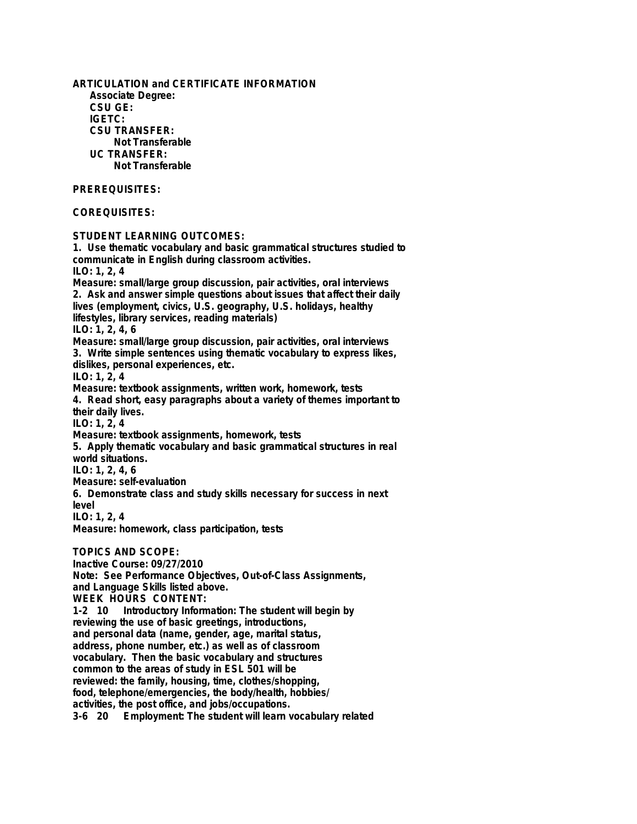**ARTICULATION and CERTIFICATE INFORMATION Associate Degree: CSU GE: IGETC: CSU TRANSFER: Not Transferable UC TRANSFER: Not Transferable PREREQUISITES: COREQUISITES: STUDENT LEARNING OUTCOMES: 1. Use thematic vocabulary and basic grammatical structures studied to communicate in English during classroom activities. ILO: 1, 2, 4 Measure: small/large group discussion, pair activities, oral interviews 2. Ask and answer simple questions about issues that affect their daily lives (employment, civics, U.S. geography, U.S. holidays, healthy lifestyles, library services, reading materials) ILO: 1, 2, 4, 6 Measure: small/large group discussion, pair activities, oral interviews 3. Write simple sentences using thematic vocabulary to express likes, dislikes, personal experiences, etc. ILO: 1, 2, 4 Measure: textbook assignments, written work, homework, tests 4. Read short, easy paragraphs about a variety of themes important to their daily lives. ILO: 1, 2, 4 Measure: textbook assignments, homework, tests 5. Apply thematic vocabulary and basic grammatical structures in real world situations. ILO: 1, 2, 4, 6 Measure: self-evaluation 6. Demonstrate class and study skills necessary for success in next level ILO: 1, 2, 4 Measure: homework, class participation, tests TOPICS AND SCOPE: Inactive Course: 09/27/2010 Note: See Performance Objectives, Out-of-Class Assignments, and Language Skills listed above. WEEK HOURS CONTENT: 1-2 10 Introductory Information: The student will begin by reviewing the use of basic greetings, introductions, and personal data (name, gender, age, marital status, address, phone number, etc.) as well as of classroom vocabulary. Then the basic vocabulary and structures common to the areas of study in ESL 501 will be reviewed: the family, housing, time, clothes/shopping, food, telephone/emergencies, the body/health, hobbies/ activities, the post office, and jobs/occupations.**

**3-6 20 Employment: The student will learn vocabulary related**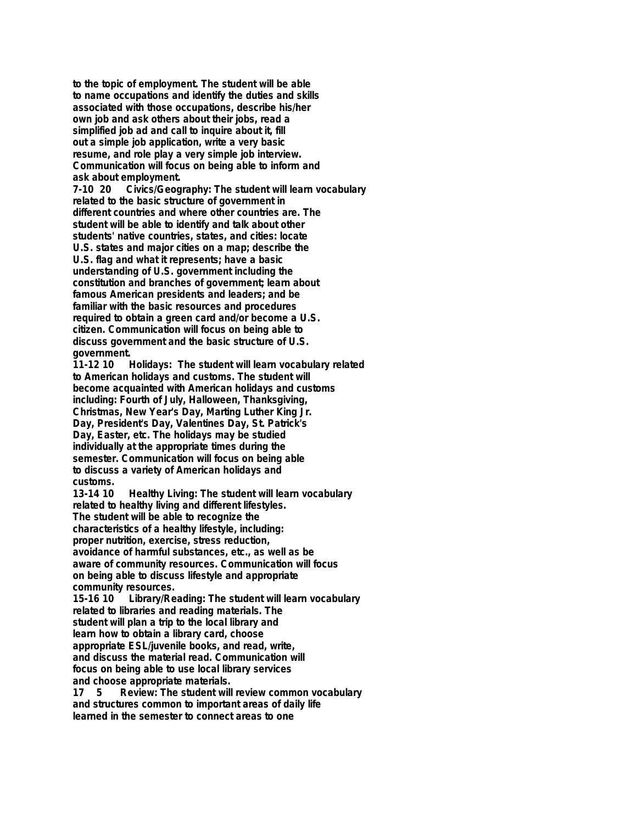**to the topic of employment. The student will be able to name occupations and identify the duties and skills associated with those occupations, describe his/her own job and ask others about their jobs, read a simplified job ad and call to inquire about it, fill out a simple job application, write a very basic resume, and role play a very simple job interview. Communication will focus on being able to inform and ask about employment.**

**7-10 20 Civics/Geography: The student will learn vocabulary related to the basic structure of government in different countries and where other countries are. The student will be able to identify and talk about other students' native countries, states, and cities: locate U.S. states and major cities on a map; describe the U.S. flag and what it represents; have a basic understanding of U.S. government including the constitution and branches of government; learn about famous American presidents and leaders; and be familiar with the basic resources and procedures required to obtain a green card and/or become a U.S. citizen. Communication will focus on being able to discuss government and the basic structure of U.S. government.**

**11-12 10 Holidays: The student will learn vocabulary related to American holidays and customs. The student will become acquainted with American holidays and customs including: Fourth of July, Halloween, Thanksgiving, Christmas, New Year's Day, Marting Luther King Jr. Day, President's Day, Valentines Day, St. Patrick's Day, Easter, etc. The holidays may be studied individually at the appropriate times during the semester. Communication will focus on being able to discuss a variety of American holidays and customs.**

**13-14 10 Healthy Living: The student will learn vocabulary related to healthy living and different lifestyles. The student will be able to recognize the characteristics of a healthy lifestyle, including: proper nutrition, exercise, stress reduction, avoidance of harmful substances, etc., as well as be aware of community resources. Communication will focus on being able to discuss lifestyle and appropriate community resources.**

**15-16 10 Library/Reading: The student will learn vocabulary related to libraries and reading materials. The student will plan a trip to the local library and learn how to obtain a library card, choose appropriate ESL/juvenile books, and read, write, and discuss the material read. Communication will focus on being able to use local library services and choose appropriate materials.**

**17 5 Review: The student will review common vocabulary and structures common to important areas of daily life learned in the semester to connect areas to one**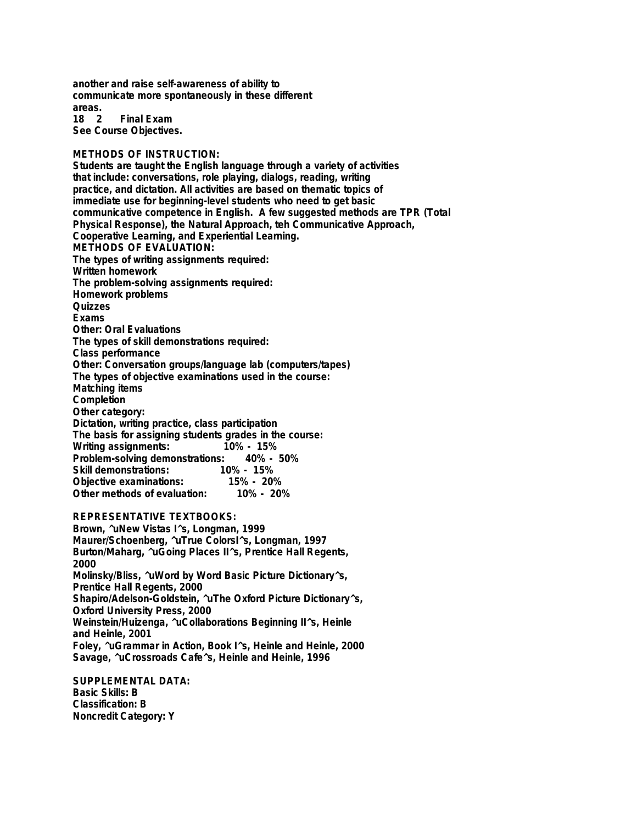**another and raise self-awareness of ability to communicate more spontaneously in these different areas.**

**Final Exam See Course Objectives.**

## **METHODS OF INSTRUCTION:**

**Students are taught the English language through a variety of activities that include: conversations, role playing, dialogs, reading, writing practice, and dictation. All activities are based on thematic topics of immediate use for beginning-level students who need to get basic communicative competence in English. A few suggested methods are TPR (Total Physical Response), the Natural Approach, teh Communicative Approach, Cooperative Learning, and Experiential Learning. METHODS OF EVALUATION: The types of writing assignments required: Written homework The problem-solving assignments required: Homework problems Quizzes Exams Other: Oral Evaluations The types of skill demonstrations required: Class performance Other: Conversation groups/language lab (computers/tapes) The types of objective examinations used in the course: Matching items Completion Other category: Dictation, writing practice, class participation The basis for assigning students grades in the course: Writing assignments: Problem-solving demonstrations: 40% - 50% Skill demonstrations: 10% - 15% Objective examinations: 15% - 20% Other methods of evaluation:** 

**REPRESENTATIVE TEXTBOOKS:**

**Brown, ^uNew Vistas I^s, Longman, 1999 Maurer/Schoenberg, ^uTrue ColorsI^s, Longman, 1997 Burton/Maharg, ^uGoing Places II^s, Prentice Hall Regents, 2000 Molinsky/Bliss, ^uWord by Word Basic Picture Dictionary^s, Prentice Hall Regents, 2000 Shapiro/Adelson-Goldstein, ^uThe Oxford Picture Dictionary^s, Oxford University Press, 2000 Weinstein/Huizenga, ^uCollaborations Beginning II^s, Heinle and Heinle, 2001 Foley, ^uGrammar in Action, Book I^s, Heinle and Heinle, 2000 Savage, ^uCrossroads Cafe^s, Heinle and Heinle, 1996**

**SUPPLEMENTAL DATA: Basic Skills: B Classification: B Noncredit Category: Y**